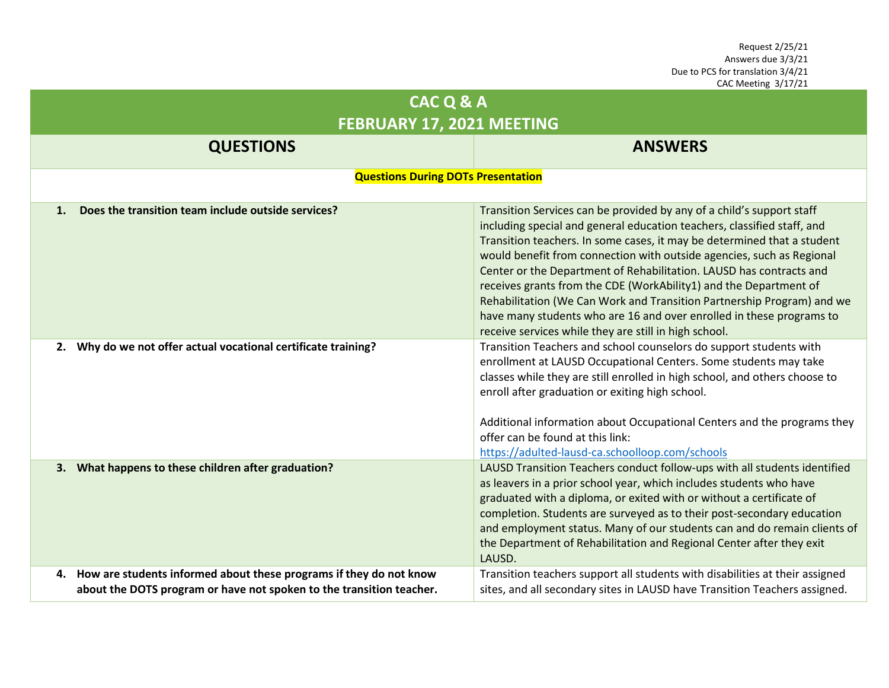| CAC Q & A                                                                                                                                        |                                                                                                                                                                                                                                                                                                                                                                                                                                                                                                                                                                                                                                                             |  |  |
|--------------------------------------------------------------------------------------------------------------------------------------------------|-------------------------------------------------------------------------------------------------------------------------------------------------------------------------------------------------------------------------------------------------------------------------------------------------------------------------------------------------------------------------------------------------------------------------------------------------------------------------------------------------------------------------------------------------------------------------------------------------------------------------------------------------------------|--|--|
| FEBRUARY 17, 2021 MEETING                                                                                                                        |                                                                                                                                                                                                                                                                                                                                                                                                                                                                                                                                                                                                                                                             |  |  |
| <b>QUESTIONS</b>                                                                                                                                 | <b>ANSWERS</b>                                                                                                                                                                                                                                                                                                                                                                                                                                                                                                                                                                                                                                              |  |  |
| <b>Questions During DOTs Presentation</b>                                                                                                        |                                                                                                                                                                                                                                                                                                                                                                                                                                                                                                                                                                                                                                                             |  |  |
| Does the transition team include outside services?<br>$\mathbf{1}$ .                                                                             | Transition Services can be provided by any of a child's support staff<br>including special and general education teachers, classified staff, and<br>Transition teachers. In some cases, it may be determined that a student<br>would benefit from connection with outside agencies, such as Regional<br>Center or the Department of Rehabilitation. LAUSD has contracts and<br>receives grants from the CDE (WorkAbility1) and the Department of<br>Rehabilitation (We Can Work and Transition Partnership Program) and we<br>have many students who are 16 and over enrolled in these programs to<br>receive services while they are still in high school. |  |  |
| Why do we not offer actual vocational certificate training?<br>2.                                                                                | Transition Teachers and school counselors do support students with<br>enrollment at LAUSD Occupational Centers. Some students may take<br>classes while they are still enrolled in high school, and others choose to<br>enroll after graduation or exiting high school.<br>Additional information about Occupational Centers and the programs they<br>offer can be found at this link:<br>https://adulted-lausd-ca.schoolloop.com/schools                                                                                                                                                                                                                   |  |  |
| What happens to these children after graduation?<br>3.                                                                                           | LAUSD Transition Teachers conduct follow-ups with all students identified<br>as leavers in a prior school year, which includes students who have<br>graduated with a diploma, or exited with or without a certificate of<br>completion. Students are surveyed as to their post-secondary education<br>and employment status. Many of our students can and do remain clients of<br>the Department of Rehabilitation and Regional Center after they exit<br>LAUSD.                                                                                                                                                                                            |  |  |
| How are students informed about these programs if they do not know<br>4.<br>about the DOTS program or have not spoken to the transition teacher. | Transition teachers support all students with disabilities at their assigned<br>sites, and all secondary sites in LAUSD have Transition Teachers assigned.                                                                                                                                                                                                                                                                                                                                                                                                                                                                                                  |  |  |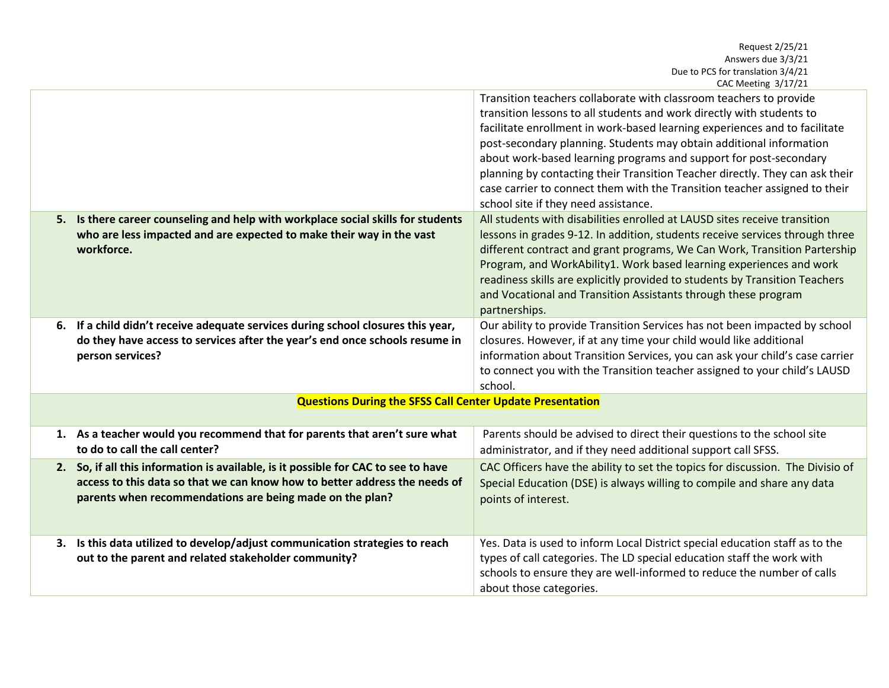|                                                                  |                                                                                                                                                                                                                              | CAC IVICCLINE $3/17/21$                                                                                                                                                                                                                                                                                                                                                                                                                                                                                                                                                     |
|------------------------------------------------------------------|------------------------------------------------------------------------------------------------------------------------------------------------------------------------------------------------------------------------------|-----------------------------------------------------------------------------------------------------------------------------------------------------------------------------------------------------------------------------------------------------------------------------------------------------------------------------------------------------------------------------------------------------------------------------------------------------------------------------------------------------------------------------------------------------------------------------|
|                                                                  |                                                                                                                                                                                                                              | Transition teachers collaborate with classroom teachers to provide<br>transition lessons to all students and work directly with students to<br>facilitate enrollment in work-based learning experiences and to facilitate<br>post-secondary planning. Students may obtain additional information<br>about work-based learning programs and support for post-secondary<br>planning by contacting their Transition Teacher directly. They can ask their<br>case carrier to connect them with the Transition teacher assigned to their<br>school site if they need assistance. |
|                                                                  | 5. Is there career counseling and help with workplace social skills for students<br>who are less impacted and are expected to make their way in the vast<br>workforce.                                                       | All students with disabilities enrolled at LAUSD sites receive transition<br>lessons in grades 9-12. In addition, students receive services through three<br>different contract and grant programs, We Can Work, Transition Partership<br>Program, and WorkAbility1. Work based learning experiences and work<br>readiness skills are explicitly provided to students by Transition Teachers<br>and Vocational and Transition Assistants through these program<br>partnerships.                                                                                             |
|                                                                  | 6. If a child didn't receive adequate services during school closures this year,<br>do they have access to services after the year's end once schools resume in<br>person services?                                          | Our ability to provide Transition Services has not been impacted by school<br>closures. However, if at any time your child would like additional<br>information about Transition Services, you can ask your child's case carrier<br>to connect you with the Transition teacher assigned to your child's LAUSD<br>school.                                                                                                                                                                                                                                                    |
| <b>Questions During the SFSS Call Center Update Presentation</b> |                                                                                                                                                                                                                              |                                                                                                                                                                                                                                                                                                                                                                                                                                                                                                                                                                             |
|                                                                  | 1. As a teacher would you recommend that for parents that aren't sure what<br>to do to call the call center?                                                                                                                 | Parents should be advised to direct their questions to the school site<br>administrator, and if they need additional support call SFSS.                                                                                                                                                                                                                                                                                                                                                                                                                                     |
|                                                                  | 2. So, if all this information is available, is it possible for CAC to see to have<br>access to this data so that we can know how to better address the needs of<br>parents when recommendations are being made on the plan? | CAC Officers have the ability to set the topics for discussion. The Divisio of<br>Special Education (DSE) is always willing to compile and share any data<br>points of interest.                                                                                                                                                                                                                                                                                                                                                                                            |
|                                                                  | 3. Is this data utilized to develop/adjust communication strategies to reach<br>out to the parent and related stakeholder community?                                                                                         | Yes. Data is used to inform Local District special education staff as to the<br>types of call categories. The LD special education staff the work with<br>schools to ensure they are well-informed to reduce the number of calls<br>about those categories.                                                                                                                                                                                                                                                                                                                 |
|                                                                  |                                                                                                                                                                                                                              |                                                                                                                                                                                                                                                                                                                                                                                                                                                                                                                                                                             |